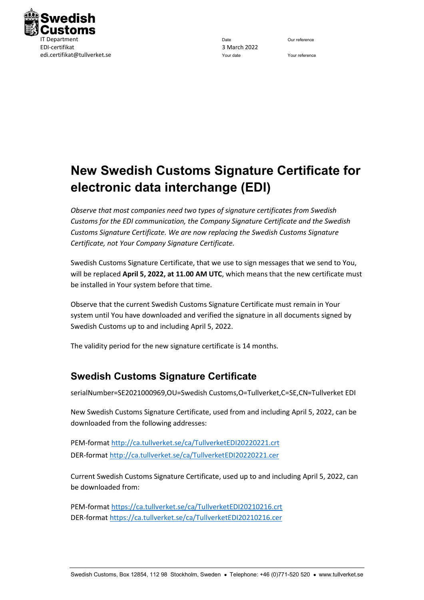

## **New Swedish Customs Signature Certificate for electronic data interchange (EDI)**

*Observe that most companies need two types of signature certificates from Swedish Customs for the EDI communication, the Company Signature Certificate and the Swedish Customs Signature Certificate. We are now replacing the Swedish Customs Signature Certificate, not Your Company Signature Certificate.*

Swedish Customs Signature Certificate, that we use to sign messages that we send to You, will be replaced **April 5, 2022, at 11.00 AM UTC**, which means that the new certificate must be installed in Your system before that time.

Observe that the current Swedish Customs Signature Certificate must remain in Your system until You have downloaded and verified the signature in all documents signed by Swedish Customs up to and including April 5, 2022.

The validity period for the new signature certificate is 14 months.

## **Swedish Customs Signature Certificate**

serialNumber=SE2021000969,OU=Swedish Customs,O=Tullverket,C=SE,CN=Tullverket EDI

New Swedish Customs Signature Certificate, used from and including April 5, 2022, can be downloaded from the following addresses:

PEM-format<http://ca.tullverket.se/ca/TullverketEDI20220221.crt> DER-format<http://ca.tullverket.se/ca/TullverketEDI20220221.cer>

Current Swedish Customs Signature Certificate, used up to and including April 5, 2022, can be downloaded from:

PEM-format<https://ca.tullverket.se/ca/TullverketEDI20210216.crt> DER-format<https://ca.tullverket.se/ca/TullverketEDI20210216.cer>